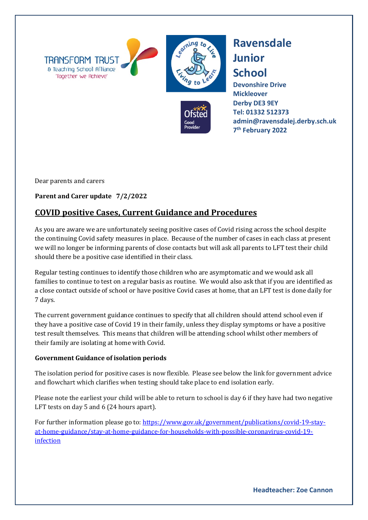





**Devonshire Drive Mickleover Derby DE3 9EY [Tel: 01332](tel:01332) 512373 admin@ravensdalej.derby.sch.uk 7th February 2022**

Dear parents and carers

## **Parent and Carer update 7/2/2022**

## **COVID positive Cases, Current Guidance and Procedures**

As you are aware we are unfortunately seeing positive cases of Covid rising across the school despite the continuing Covid safety measures in place. Because of the number of cases in each class at present we will no longer be informing parents of close contacts but will ask all parents to LFT test their child should there be a positive case identified in their class.

Regular testing continues to identify those children who are asymptomatic and we would ask all families to continue to test on a regular basis as routine. We would also ask that if you are identified as a close contact outside of school or have positive Covid cases at home, that an LFT test is done daily for 7 days.

The current government guidance continues to specify that all children should attend school even if they have a positive case of Covid 19 in their family, unless they display symptoms or have a positive test result themselves. This means that children will be attending school whilst other members of their family are isolating at home with Covid.

## **Government Guidance of isolation periods**

The isolation period for positive cases is now flexible. Please see below the link for government advice and flowchart which clarifies when testing should take place to end isolation early.

Please note the earliest your child will be able to return to school is day 6 if they have had two negative LFT tests on day 5 and 6 (24 hours apart).

For further information please go to: [https://www.gov.uk/government/publications/covid-19-stay](https://www.gov.uk/government/publications/covid-19-stay-at-home-guidance/stay-at-home-guidance-for-households-with-possible-coronavirus-covid-19-infection)[at-home-guidance/stay-at-home-guidance-for-households-with-possible-coronavirus-covid-19](https://www.gov.uk/government/publications/covid-19-stay-at-home-guidance/stay-at-home-guidance-for-households-with-possible-coronavirus-covid-19-infection) [infection](https://www.gov.uk/government/publications/covid-19-stay-at-home-guidance/stay-at-home-guidance-for-households-with-possible-coronavirus-covid-19-infection)